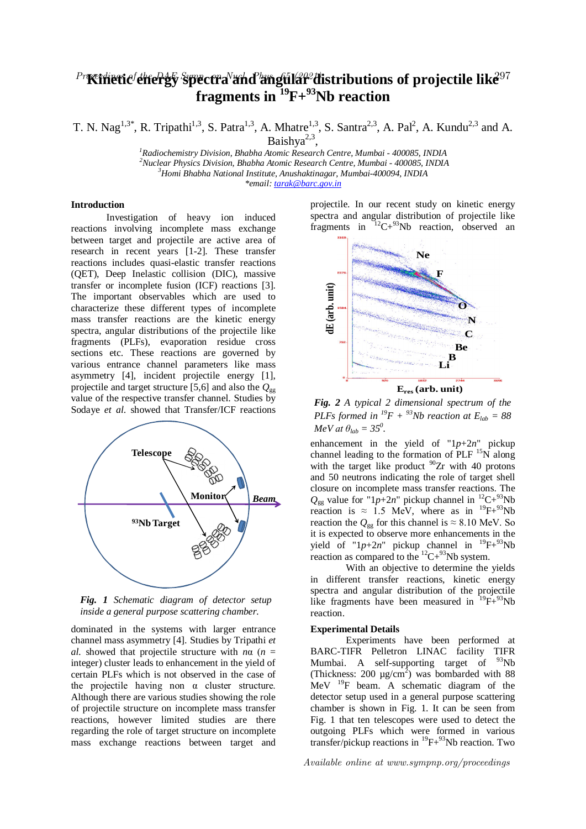# ${}^{Pr}$ Kinetic ${}^{f}$ che $P$ g $\bar{\bf y}$  spectra ${}^{N}$ and angular ${}^{2}$ distributions of projectile lik $\hat{\bf e}^{97}$  ${\bf frequency}$  **fragments in**  ${}^{19}{\rm F+}^{93}{\rm Nb}$  reaction

T. N. Nag<sup>1,3\*</sup>, R. Tripathi<sup>1,3</sup>, S. Patra<sup>1,3</sup>, A. Mhatre<sup>1,3</sup>, S. Santra<sup>2,3</sup>, A. Pal<sup>2</sup>, A. Kundu<sup>2,3</sup> and A. Baishya<sup>2,3</sup>,

*Radiochemistry Division, Bhabha Atomic Research Centre, Mumbai - 400085, INDIA Nuclear Physics Division, Bhabha Atomic Research Centre, Mumbai - 400085, INDIA Homi Bhabha National Institute, Anushaktinagar, Mumbai-400094, INDIA \*email: tarak@barc.gov.in*

## **Introduction**

Investigation of heavy ion induced reactions involving incomplete mass exchange between target and projectile are active area of research in recent years [1-2]. These transfer reactions includes quasi-elastic transfer reactions (QET), Deep Inelastic collision (DIC), massive transfer or incomplete fusion (ICF) reactions [3]. The important observables which are used to characterize these different types of incomplete mass transfer reactions are the kinetic energy spectra, angular distributions of the projectile like fragments (PLFs), evaporation residue cross sections etc. These reactions are governed by various entrance channel parameters like mass asymmetry [4], incident projectile energy [1], projectile and target structure [5,6] and also the  $Q_{gg}$ value of the respective transfer channel. Studies by Sodaye *et al*. showed that Transfer/ICF reactions



*Fig. 1 Schematic diagram of detector setup inside a general purpose scattering chamber.*

dominated in the systems with larger entrance channel mass asymmetry [4]. Studies by Tripathi *et al.* showed that projectile structure with *n*α (*n* = integer) cluster leads to enhancement in the yield of certain PLFs which is not observed in the case of the projectile having non  $\alpha$  cluster structure. Although there are various studies showing the role of projectile structure on incomplete mass transfer reactions, however limited studies are there regarding the role of target structure on incomplete mass exchange reactions between target and

projectile. In our recent study on kinetic energy spectra and angular distribution of projectile like fragments in  ${}^{12}C+{}^{93}Nb$  reaction, observed an



*Fig. 2 A typical 2 dimensional spectrum of the PLFs formed in* <sup> $^{19}F$ </sup> + <sup>93</sup>*Nb reaction at*  $E_{lab}$  = 88

enhancement in the yield of "1*p*+2*n*" pickup channel leading to the formation of  $PLF$ <sup>15</sup>N along with the target like product  $^{90}Zr$  with 40 protons and 50 neutrons indicating the role of target shell closure on incomplete mass transfer reactions. The  $Q_{gg}$  value for "1*p*+2*n*" pickup channel in <sup>12</sup>C+<sup>93</sup>Nb reaction is  $\approx$  1.5 MeV, where as in <sup>19</sup>F+<sup>93</sup>Nb reaction the  $Q_{gg}$  for this channel is  $\approx 8.10$  MeV. So it is expected to observe more enhancements in the yield of " $1p+2n$ " pickup channel in  $^{19}F+^{93}Nb$ reaction as compared to the  ${}^{12}C+{}^{93}Nb$  system. *MeV* at  $\theta_{lab} = 35^{\circ}$ .

With an objective to determine the yields in different transfer reactions, kinetic energy spectra and angular distribution of the projectile like fragments have been measured in  $^{19}F+^{93}Nb$ reaction.

#### **Experimental Details**

Experiments have been performed at BARC-TIFR Pelletron LINAC facility TIFR Mumbai. A self-supporting target of <sup>93</sup>Nb (Thickness: 200  $\mu$ g/cm<sup>2</sup>) was bombarded with 88 MeV <sup>19</sup>F beam. A schematic diagram of the detector setup used in a general purpose scattering chamber is shown in Fig. 1. It can be seen from Fig. 1 that ten telescopes were used to detect the outgoing PLFs which were formed in various transfer/pickup reactions in  ${}^{19}F+{}^{93}Nb$  reaction. Two

Available online at www.sympnp.org/proceedings